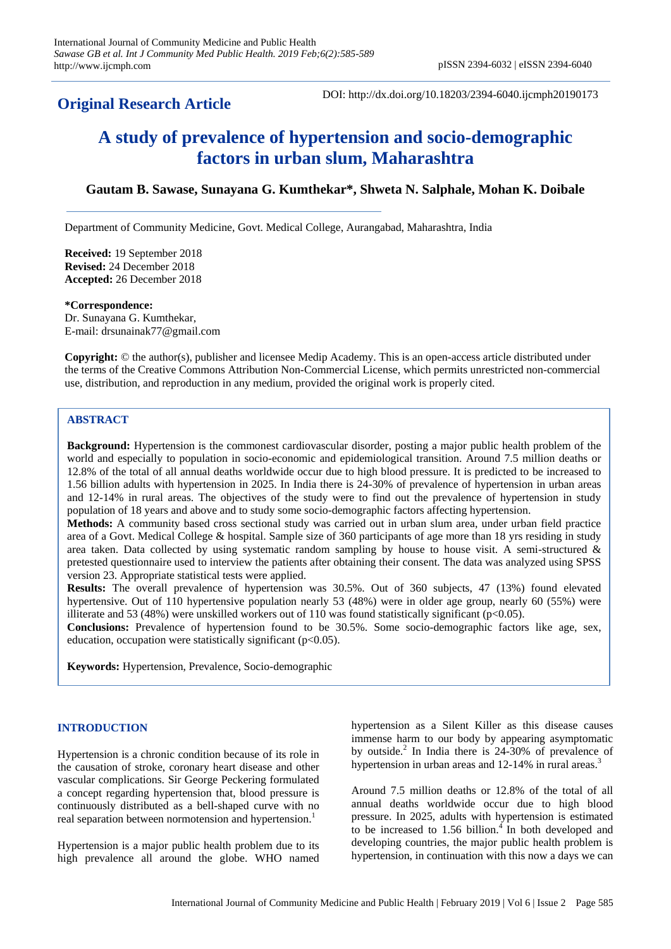# **Original Research Article**

DOI: http://dx.doi.org/10.18203/2394-6040.ijcmph20190173

# **A study of prevalence of hypertension and socio-demographic factors in urban slum, Maharashtra**

# **Gautam B. Sawase, Sunayana G. Kumthekar\*, Shweta N. Salphale, Mohan K. Doibale**

Department of Community Medicine, Govt. Medical College, Aurangabad, Maharashtra, India

**Received:** 19 September 2018 **Revised:** 24 December 2018 **Accepted:** 26 December 2018

**\*Correspondence:**

Dr. Sunayana G. Kumthekar, E-mail: drsunainak77@gmail.com

**Copyright:** © the author(s), publisher and licensee Medip Academy. This is an open-access article distributed under the terms of the Creative Commons Attribution Non-Commercial License, which permits unrestricted non-commercial use, distribution, and reproduction in any medium, provided the original work is properly cited.

# **ABSTRACT**

**Background:** Hypertension is the commonest cardiovascular disorder, posting a major public health problem of the world and especially to population in socio-economic and epidemiological transition. Around 7.5 million deaths or 12.8% of the total of all annual deaths worldwide occur due to high blood pressure. It is predicted to be increased to 1.56 billion adults with hypertension in 2025. In India there is 24-30% of prevalence of hypertension in urban areas and 12-14% in rural areas. The objectives of the study were to find out the prevalence of hypertension in study population of 18 years and above and to study some socio-demographic factors affecting hypertension.

**Methods:** A community based cross sectional study was carried out in urban slum area, under urban field practice area of a Govt. Medical College & hospital. Sample size of 360 participants of age more than 18 yrs residing in study area taken. Data collected by using systematic random sampling by house to house visit. A semi-structured & pretested questionnaire used to interview the patients after obtaining their consent. The data was analyzed using SPSS version 23. Appropriate statistical tests were applied.

**Results:** The overall prevalence of hypertension was 30.5%. Out of 360 subjects, 47 (13%) found elevated hypertensive. Out of 110 hypertensive population nearly 53 (48%) were in older age group, nearly 60 (55%) were illiterate and 53 (48%) were unskilled workers out of 110 was found statistically significant ( $p<0.05$ ).

**Conclusions:** Prevalence of hypertension found to be 30.5%. Some socio-demographic factors like age, sex, education, occupation were statistically significant  $(p<0.05)$ .

**Keywords:** Hypertension, Prevalence, Socio-demographic

# **INTRODUCTION**

Hypertension is a chronic condition because of its role in the causation of stroke, coronary heart disease and other vascular complications. Sir George Peckering formulated a concept regarding hypertension that, blood pressure is continuously distributed as a bell-shaped curve with no real separation between normotension and hypertension.<sup>1</sup>

Hypertension is a major public health problem due to its high prevalence all around the globe. WHO named hypertension as a Silent Killer as this disease causes immense harm to our body by appearing asymptomatic by outside.<sup>2</sup> In India there is 24-30% of prevalence of hypertension in urban areas and 12-14% in rural areas.<sup>3</sup>

Around 7.5 million deaths or 12.8% of the total of all annual deaths worldwide occur due to high blood pressure. In 2025, adults with hypertension is estimated to be increased to 1.56 billion. $\frac{4}{1}$  In both developed and developing countries, the major public health problem is hypertension, in continuation with this now a days we can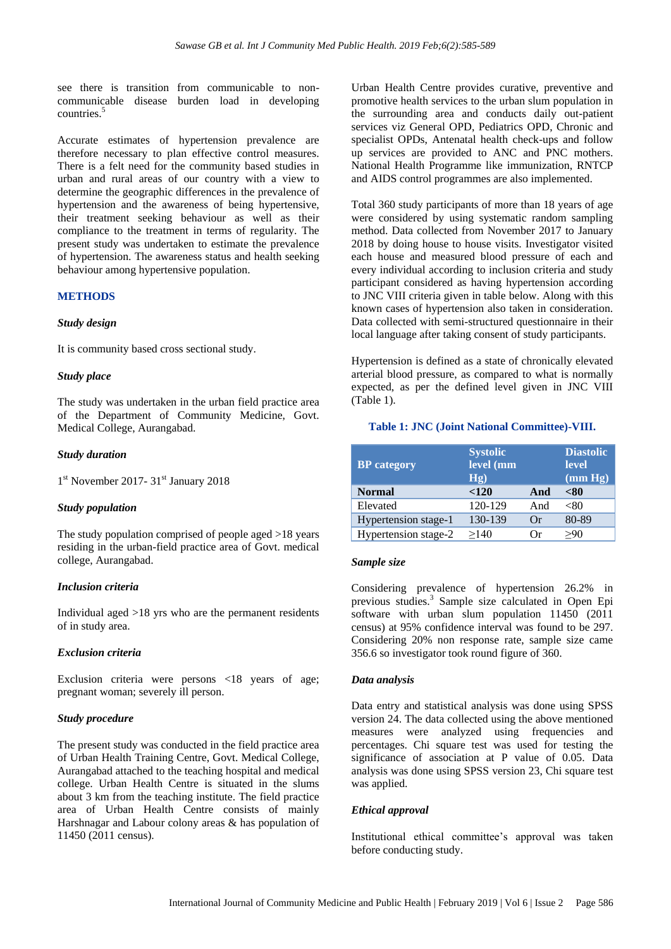see there is transition from communicable to noncommunicable disease burden load in developing countries.<sup>5</sup>

Accurate estimates of hypertension prevalence are therefore necessary to plan effective control measures. There is a felt need for the community based studies in urban and rural areas of our country with a view to determine the geographic differences in the prevalence of hypertension and the awareness of being hypertensive, their treatment seeking behaviour as well as their compliance to the treatment in terms of regularity. The present study was undertaken to estimate the prevalence of hypertension. The awareness status and health seeking behaviour among hypertensive population.

# **METHODS**

#### *Study design*

It is community based cross sectional study.

#### *Study place*

The study was undertaken in the urban field practice area of the Department of Community Medicine, Govt. Medical College, Aurangabad.

#### *Study duration*

1<sup>st</sup> November 2017- 31<sup>st</sup> January 2018

#### *Study population*

The study population comprised of people aged >18 years residing in the urban-field practice area of Govt. medical college, Aurangabad.

#### *Inclusion criteria*

Individual aged >18 yrs who are the permanent residents of in study area.

#### *Exclusion criteria*

Exclusion criteria were persons <18 years of age; pregnant woman; severely ill person.

# *Study procedure*

The present study was conducted in the field practice area of Urban Health Training Centre, Govt. Medical College, Aurangabad attached to the teaching hospital and medical college. Urban Health Centre is situated in the slums about 3 km from the teaching institute. The field practice area of Urban Health Centre consists of mainly Harshnagar and Labour colony areas & has population of 11450 (2011 census).

Urban Health Centre provides curative, preventive and promotive health services to the urban slum population in the surrounding area and conducts daily out-patient services viz General OPD, Pediatrics OPD, Chronic and specialist OPDs, Antenatal health check-ups and follow up services are provided to ANC and PNC mothers. National Health Programme like immunization, RNTCP and AIDS control programmes are also implemented.

Total 360 study participants of more than 18 years of age were considered by using systematic random sampling method. Data collected from November 2017 to January 2018 by doing house to house visits. Investigator visited each house and measured blood pressure of each and every individual according to inclusion criteria and study participant considered as having hypertension according to JNC VIII criteria given in table below. Along with this known cases of hypertension also taken in consideration. Data collected with semi-structured questionnaire in their local language after taking consent of study participants.

Hypertension is defined as a state of chronically elevated arterial blood pressure, as compared to what is normally expected, as per the defined level given in JNC VIII (Table 1).

#### **Table 1: JNC (Joint National Committee)-VIII.**

| <b>BP</b> category   | <b>Systolic</b><br>level (mm<br>Hg) |          | <b>Diastolic</b><br><b>level</b><br>$(\text{mm Hg})$ |  |
|----------------------|-------------------------------------|----------|------------------------------------------------------|--|
| <b>Normal</b>        | < 120                               | And      | <80                                                  |  |
| Elevated             | 120-129                             | And      | <80                                                  |  |
| Hypertension stage-1 | 130-139                             | Or       | 80-89                                                |  |
| Hypertension stage-2 | >140                                | $\alpha$ | >90                                                  |  |

#### *Sample size*

Considering prevalence of hypertension 26.2% in previous studies.<sup>3</sup> Sample size calculated in Open Epi software with urban slum population 11450 (2011) census) at 95% confidence interval was found to be 297. Considering 20% non response rate, sample size came 356.6 so investigator took round figure of 360.

#### *Data analysis*

Data entry and statistical analysis was done using SPSS version 24. The data collected using the above mentioned measures were analyzed using frequencies and percentages. Chi square test was used for testing the significance of association at P value of 0.05. Data analysis was done using SPSS version 23, Chi square test was applied.

#### *Ethical approval*

Institutional ethical committee's approval was taken before conducting study.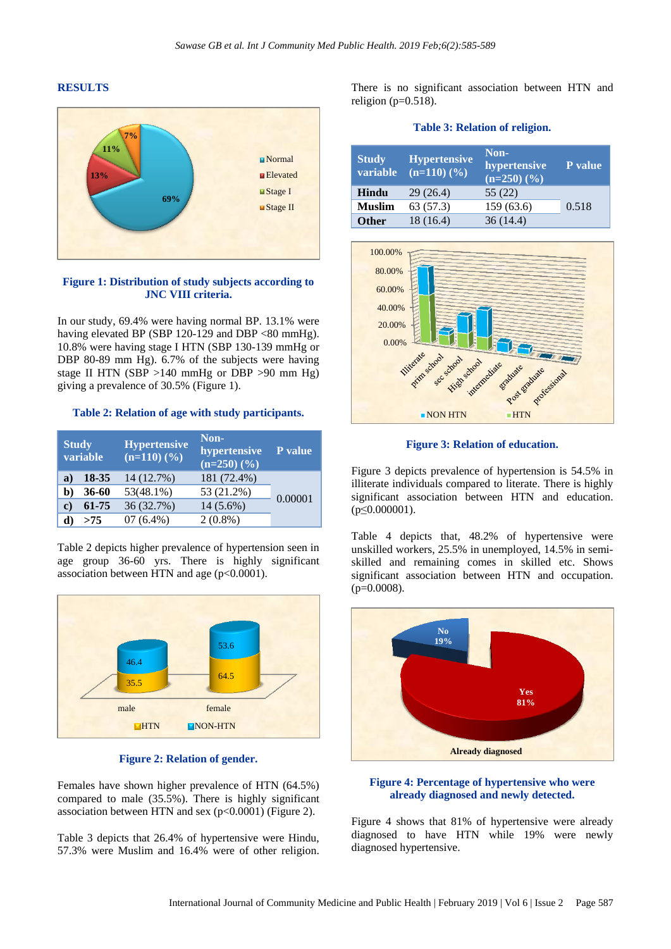#### **RESULTS**



#### **Figure 1: Distribution of study subjects according to JNC VIII criteria.**

In our study, 69.4% were having normal BP. 13.1% were having elevated BP (SBP 120-129 and DBP <80 mmHg). 10.8% were having stage I HTN (SBP 130-139 mmHg or DBP 80-89 mm Hg). 6.7% of the subjects were having stage II HTN (SBP  $>140$  mmHg or DBP  $>90$  mm Hg) giving a prevalence of 30.5% (Figure 1).

**Table 2: Relation of age with study participants.**

| <b>Study</b> | variable | <b>Hypertensive</b><br>$(n=110)$ $(\frac{9}{6})$ | Non-<br>hypertensive<br>$(n=250)$ $(\frac{9}{6})$ | $\overline{P}$ value |
|--------------|----------|--------------------------------------------------|---------------------------------------------------|----------------------|
| a)           | 18-35    | 14 (12.7%)                                       | 181 (72.4%)                                       |                      |
| b)           | 36-60    | $53(48.1\%)$                                     | 53 (21.2%)                                        | 0.00001              |
| C)           | 61-75    | 36 (32.7%)                                       | $14(5.6\%)$                                       |                      |
|              | >75      | $07(6.4\%)$                                      | $2(0.8\%)$                                        |                      |

Table 2 depicts higher prevalence of hypertension seen in age group 36-60 yrs. There is highly significant association between HTN and age (p<0.0001).



# **Figure 2: Relation of gender.**

Females have shown higher prevalence of HTN (64.5%) compared to male (35.5%). There is highly significant association between HTN and sex  $(p<0.0001)$  (Figure 2).

Table 3 depicts that 26.4% of hypertensive were Hindu, 57.3% were Muslim and 16.4% were of other religion.

There is no significant association between HTN and religion ( $p=0.518$ ).

|  | <b>Table 3: Relation of religion.</b> |  |  |
|--|---------------------------------------|--|--|
|  |                                       |  |  |

| <b>Study</b><br>variable | <b>Hypertensive</b><br>$(n=110)$ $(\frac{9}{6})$ | Non-<br>hypertensive<br>$(n=250)(\%)$ | <b>P</b> value |
|--------------------------|--------------------------------------------------|---------------------------------------|----------------|
| Hindu                    | 29(26.4)                                         | 55(22)                                |                |
| <b>Muslim</b>            | 63(57.3)                                         | 159(63.6)                             | 0.518          |
| <b>Other</b>             | 18 (16.4)                                        | 36(14.4)                              |                |



**Figure 3: Relation of education.**

Figure 3 depicts prevalence of hypertension is 54.5% in illiterate individuals compared to literate. There is highly significant association between HTN and education. (p≤0.000001).

Table 4 depicts that, 48.2% of hypertensive were unskilled workers, 25.5% in unemployed, 14.5% in semiskilled and remaining comes in skilled etc. Shows significant association between HTN and occupation.  $(p=0.0008)$ .



#### **Figure 4: Percentage of hypertensive who were already diagnosed and newly detected.**

Figure 4 shows that 81% of hypertensive were already diagnosed to have HTN while 19% were newly diagnosed hypertensive.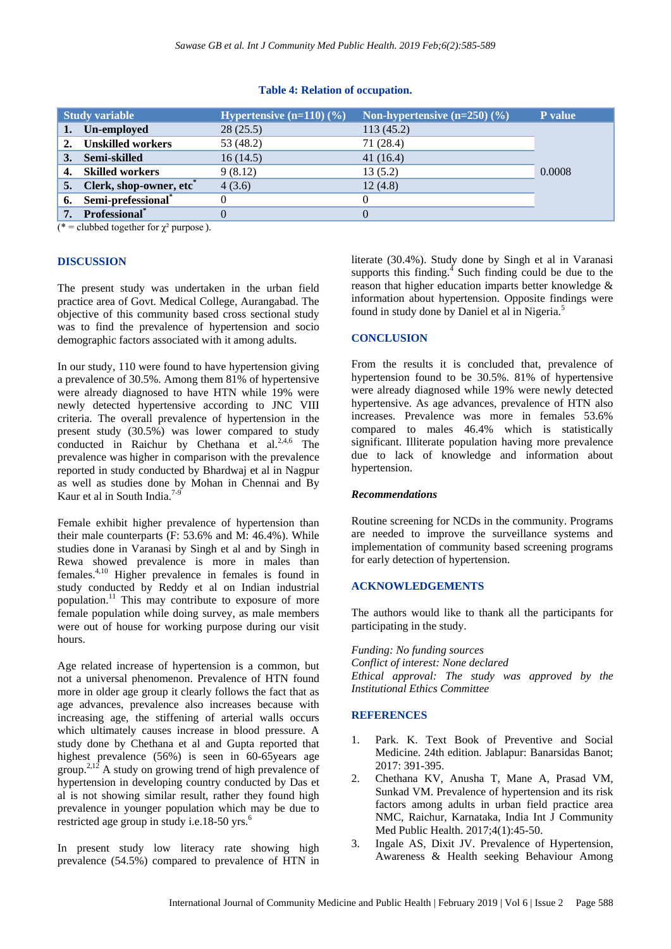|    | <b>Study variable</b>               | Hypertensive $(n=110)(\%)$ | Non-hypertensive $(n=250)$ $(\% )$ | <b>P</b> value |
|----|-------------------------------------|----------------------------|------------------------------------|----------------|
| 1. | Un-employed                         | 28(25.5)                   | 113(45.2)                          |                |
|    | <b>Unskilled workers</b>            | 53 (48.2)                  | 71 (28.4)                          |                |
| 3. | Semi-skilled                        | 16(14.5)                   | 41 $(16.4)$                        |                |
| 4. | <b>Skilled workers</b>              | 9(8.12)                    | 13(5.2)                            | 0.0008         |
| 5. | Clerk, shop-owner, etc <sup>*</sup> | 4(3.6)                     | 12(4.8)                            |                |
|    | 6. Semi-prefessional*               |                            |                                    |                |
| 7. | Professional <sup>*</sup>           |                            |                                    |                |

#### **Table 4: Relation of occupation.**

(\* = clubbed together for  $\chi^2$  purpose).

#### **DISCUSSION**

The present study was undertaken in the urban field practice area of Govt. Medical College, Aurangabad. The objective of this community based cross sectional study was to find the prevalence of hypertension and socio demographic factors associated with it among adults.

In our study, 110 were found to have hypertension giving a prevalence of 30.5%. Among them 81% of hypertensive were already diagnosed to have HTN while 19% were newly detected hypertensive according to JNC VIII criteria. The overall prevalence of hypertension in the present study (30.5%) was lower compared to study conducted in Raichur by Chethana et al. $2,4,6$  The prevalence was higher in comparison with the prevalence reported in study conducted by Bhardwaj et al in Nagpur as well as studies done by Mohan in Chennai and By Kaur et al in South India.<sup>7-9</sup>

Female exhibit higher prevalence of hypertension than their male counterparts (F: 53.6% and M: 46.4%). While studies done in Varanasi by Singh et al and by Singh in Rewa showed prevalence is more in males than females.4,10 Higher prevalence in females is found in study conducted by Reddy et al on Indian industrial population.<sup>11</sup> This may contribute to exposure of more female population while doing survey, as male members were out of house for working purpose during our visit hours.

Age related increase of hypertension is a common, but not a universal phenomenon. Prevalence of HTN found more in older age group it clearly follows the fact that as age advances, prevalence also increases because with increasing age, the stiffening of arterial walls occurs which ultimately causes increase in blood pressure. A study done by Chethana et al and Gupta reported that highest prevalence (56%) is seen in 60-65years age group.<sup>2,12</sup> A study on growing trend of high prevalence of hypertension in developing country conducted by Das et al is not showing similar result, rather they found high prevalence in younger population which may be due to restricted age group in study i.e.18-50 yrs.<sup>6</sup>

In present study low literacy rate showing high prevalence (54.5%) compared to prevalence of HTN in

literate (30.4%). Study done by Singh et al in Varanasi supports this finding. $\frac{4}{3}$  Such finding could be due to the reason that higher education imparts better knowledge & information about hypertension. Opposite findings were found in study done by Daniel et al in Nigeria.<sup>5</sup>

# **CONCLUSION**

From the results it is concluded that, prevalence of hypertension found to be 30.5%. 81% of hypertensive were already diagnosed while 19% were newly detected hypertensive. As age advances, prevalence of HTN also increases. Prevalence was more in females 53.6% compared to males 46.4% which is statistically significant. Illiterate population having more prevalence due to lack of knowledge and information about hypertension.

#### *Recommendations*

Routine screening for NCDs in the community. Programs are needed to improve the surveillance systems and implementation of community based screening programs for early detection of hypertension.

#### **ACKNOWLEDGEMENTS**

The authors would like to thank all the participants for participating in the study.

*Funding: No funding sources Conflict of interest: None declared Ethical approval: The study was approved by the Institutional Ethics Committee*

#### **REFERENCES**

- 1. Park. K. Text Book of Preventive and Social Medicine. 24th edition. Jablapur: Banarsidas Banot; 2017: 391-395.
- 2. Chethana KV, Anusha T, Mane A, Prasad VM, Sunkad VM. Prevalence of hypertension and its risk factors among adults in urban field practice area NMC, Raichur, Karnataka, India Int J Community Med Public Health. 2017;4(1):45-50.
- 3. Ingale AS, Dixit JV. Prevalence of Hypertension, Awareness & Health seeking Behaviour Among